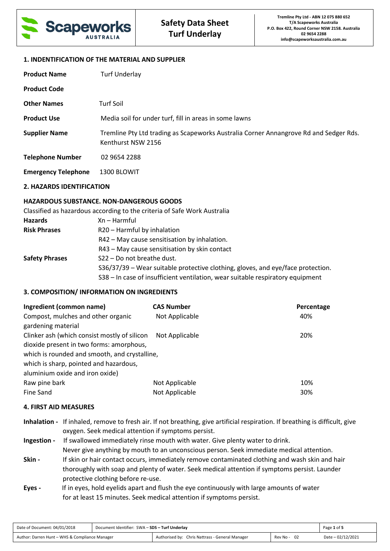

## **1. INDENTIFICATION OF THE MATERIAL AND SUPPLIER**

| <b>Product Name</b>        | <b>Turf Underlay</b>                                                                                        |
|----------------------------|-------------------------------------------------------------------------------------------------------------|
| <b>Product Code</b>        |                                                                                                             |
| <b>Other Names</b>         | <b>Turf Soil</b>                                                                                            |
| <b>Product Use</b>         | Media soil for under turf, fill in areas in some lawns                                                      |
| <b>Supplier Name</b>       | Tremline Pty Ltd trading as Scapeworks Australia Corner Annangrove Rd and Sedger Rds.<br>Kenthurst NSW 2156 |
| <b>Telephone Number</b>    | 02 9654 2288                                                                                                |
| <b>Emergency Telephone</b> | 1300 BLOWIT                                                                                                 |

## **2. HAZARDS IDENTIFICATION**

# **HAZARDOUS SUBSTANCE. NON-DANGEROUS GOODS**

Classified as hazardous according to the criteria of Safe Work Australia

| <b>Hazards</b>        | Xn – Harmful                                                                    |
|-----------------------|---------------------------------------------------------------------------------|
| <b>Risk Phrases</b>   | R20 - Harmful by inhalation                                                     |
|                       | R42 - May cause sensitisation by inhalation.                                    |
|                       | R43 – May cause sensitisation by skin contact                                   |
| <b>Safety Phrases</b> | S22 - Do not breathe dust.                                                      |
|                       | S36/37/39 – Wear suitable protective clothing, gloves, and eye/face protection. |
|                       | S38 - In case of insufficient ventilation, wear suitable respiratory equipment  |

# **3. COMPOSITION/ INFORMATION ON INGREDIENTS**

| Ingredient (common name)                      | <b>CAS Number</b> | Percentage |
|-----------------------------------------------|-------------------|------------|
| Compost, mulches and other organic            | Not Applicable    | 40%        |
| gardening material                            |                   |            |
| Clinker ash (which consist mostly of silicon  | Not Applicable    | 20%        |
| dioxide present in two forms: amorphous,      |                   |            |
| which is rounded and smooth, and crystalline, |                   |            |
| which is sharp, pointed and hazardous,        |                   |            |
| aluminium oxide and iron oxide)               |                   |            |
| Raw pine bark                                 | Not Applicable    | 10%        |
| Fine Sand                                     | Not Applicable    | 30%        |

# **4. FIRST AID MEASURES**

| Inhalation - If inhaled, remove to fresh air. If not breathing, give artificial respiration. If breathing is difficult, give |
|------------------------------------------------------------------------------------------------------------------------------|
| oxygen. Seek medical attention if symptoms persist.                                                                          |

**Ingestion -** If swallowed immediately rinse mouth with water. Give plenty water to drink. Never give anything by mouth to an unconscious person. Seek immediate medical attention. **Skin - If skin or hair contact occurs, immediately remove contaminated clothing and wash skin and hair**  thoroughly with soap and plenty of water. Seek medical attention if symptoms persist. Launder protective clothing before re-use.

**Eyes -** If in eyes, hold eyelids apart and flush the eye continuously with large amounts of water for at least 15 minutes. Seek medical attention if symptoms persist.

| Date of Document: 04/01/2018                   | Document Identifier: SWA - SDS - Turf Underlay |                                                 | Page 1 of 5 |                   |
|------------------------------------------------|------------------------------------------------|-------------------------------------------------|-------------|-------------------|
| Author: Darren Hunt - WHS & Compliance Manager |                                                | Authorised by: Chris Nattrass - General Manager | Rev No -    | Date - 02/12/2021 |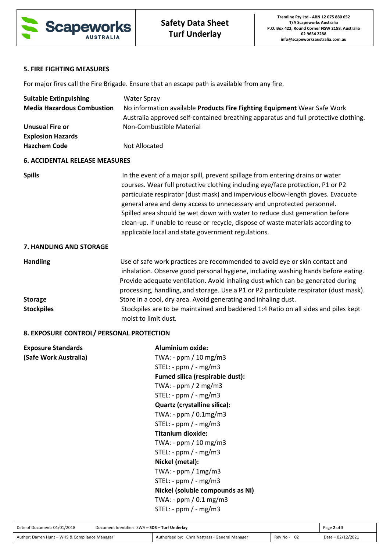

# **5. FIRE FIGHTING MEASURES**

For major fires call the Fire Brigade. Ensure that an escape path is available from any fire.

| <b>Suitable Extinguishing</b>                   | <b>Water Spray</b>                                                                                                                                                                                                                                                                                                                                                                                                                                                                                                                                    |
|-------------------------------------------------|-------------------------------------------------------------------------------------------------------------------------------------------------------------------------------------------------------------------------------------------------------------------------------------------------------------------------------------------------------------------------------------------------------------------------------------------------------------------------------------------------------------------------------------------------------|
| <b>Media Hazardous Combustion</b>               | No information available Products Fire Fighting Equipment Wear Safe Work<br>Australia approved self-contained breathing apparatus and full protective clothing.                                                                                                                                                                                                                                                                                                                                                                                       |
| <b>Unusual Fire or</b>                          | Non-Combustible Material                                                                                                                                                                                                                                                                                                                                                                                                                                                                                                                              |
| <b>Explosion Hazards</b>                        |                                                                                                                                                                                                                                                                                                                                                                                                                                                                                                                                                       |
| <b>Hazchem Code</b>                             | Not Allocated                                                                                                                                                                                                                                                                                                                                                                                                                                                                                                                                         |
| <b>6. ACCIDENTAL RELEASE MEASURES</b>           |                                                                                                                                                                                                                                                                                                                                                                                                                                                                                                                                                       |
| <b>Spills</b>                                   | In the event of a major spill, prevent spillage from entering drains or water<br>courses. Wear full protective clothing including eye/face protection, P1 or P2<br>particulate respirator (dust mask) and impervious elbow-length gloves. Evacuate<br>general area and deny access to unnecessary and unprotected personnel.<br>Spilled area should be wet down with water to reduce dust generation before<br>clean-up. If unable to reuse or recycle, dispose of waste materials according to<br>applicable local and state government regulations. |
| 7. HANDLING AND STORAGE                         |                                                                                                                                                                                                                                                                                                                                                                                                                                                                                                                                                       |
| <b>Handling</b>                                 | Use of safe work practices are recommended to avoid eye or skin contact and<br>inhalation. Observe good personal hygiene, including washing hands before eating.<br>Provide adequate ventilation. Avoid inhaling dust which can be generated during<br>processing, handling, and storage. Use a P1 or P2 particulate respirator (dust mask).                                                                                                                                                                                                          |
| <b>Storage</b>                                  | Store in a cool, dry area. Avoid generating and inhaling dust.                                                                                                                                                                                                                                                                                                                                                                                                                                                                                        |
| <b>Stockpiles</b>                               | Stockpiles are to be maintained and baddered 1:4 Ratio on all sides and piles kept<br>moist to limit dust.                                                                                                                                                                                                                                                                                                                                                                                                                                            |
| <u>O EVDOCUDE CONTROL ( DERCONAL DROTECTION</u> |                                                                                                                                                                                                                                                                                                                                                                                                                                                                                                                                                       |

#### **8. EXPOSURE CONTROL/ PERSONAL PROTECTION**

| <b>Exposure Standards</b> | Aluminium oxide:                 |
|---------------------------|----------------------------------|
| (Safe Work Australia)     | TWA: - ppm / 10 mg/m3            |
|                           | STEL: - $ppm$ / - $mg/m3$        |
|                           | Fumed silica (respirable dust):  |
|                           | TWA: - $ppm / 2 mg/m3$           |
|                           | STEL: - $ppm$ / - $mg/m3$        |
|                           | Quartz (crystalline silica):     |
|                           | TWA: - ppm / 0.1mg/m3            |
|                           | STEL: - $ppm$ / - $mg/m3$        |
|                           | Titanium dioxide:                |
|                           | TWA: - $ppm / 10 mg/m3$          |
|                           | STEL: - $ppm$ / - $mg/m3$        |
|                           | Nickel (metal):                  |
|                           | TWA: - $ppm / 1mg/m3$            |
|                           | $STEL: - ppm / - mg/m3$          |
|                           | Nickel (soluble compounds as Ni) |
|                           | TWA: - $ppm / 0.1 mg/m3$         |
|                           | $STEL: - ppm / - mg/m3$          |
|                           |                                  |

| Date of Document: 04/01/2018                   | Document Identifier: SWA - SDS - Turf Underlay |                                                 | Page 2 of 5 |                   |
|------------------------------------------------|------------------------------------------------|-------------------------------------------------|-------------|-------------------|
| Author: Darren Hunt - WHS & Compliance Manager |                                                | Authorised by: Chris Nattrass - General Manager | Rev No - 02 | Date - 02/12/2021 |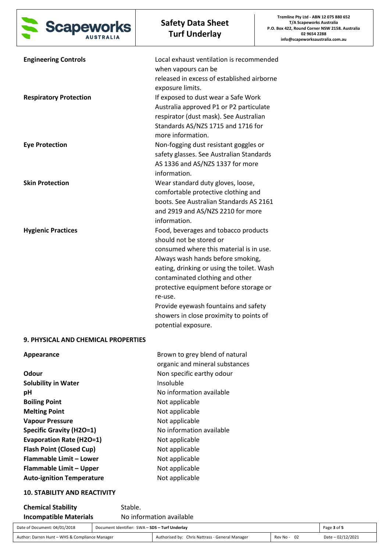

| <b>Engineering Controls</b><br><b>Respiratory Protection</b> | Local exhaust ventilation is recommended<br>when vapours can be<br>released in excess of established airborne<br>exposure limits.<br>If exposed to dust wear a Safe Work<br>Australia approved P1 or P2 particulate<br>respirator (dust mask). See Australian                                                                                                                                   |
|--------------------------------------------------------------|-------------------------------------------------------------------------------------------------------------------------------------------------------------------------------------------------------------------------------------------------------------------------------------------------------------------------------------------------------------------------------------------------|
| <b>Eye Protection</b>                                        | Standards AS/NZS 1715 and 1716 for<br>more information.<br>Non-fogging dust resistant goggles or<br>safety glasses. See Australian Standards<br>AS 1336 and AS/NZS 1337 for more<br>information.                                                                                                                                                                                                |
| <b>Skin Protection</b>                                       | Wear standard duty gloves, loose,<br>comfortable protective clothing and<br>boots. See Australian Standards AS 2161<br>and 2919 and AS/NZS 2210 for more<br>information.                                                                                                                                                                                                                        |
| <b>Hygienic Practices</b>                                    | Food, beverages and tobacco products<br>should not be stored or<br>consumed where this material is in use.<br>Always wash hands before smoking,<br>eating, drinking or using the toilet. Wash<br>contaminated clothing and other<br>protective equipment before storage or<br>re-use.<br>Provide eyewash fountains and safety<br>showers in close proximity to points of<br>potential exposure. |
| <b>9. PHYSICAL AND CHEMICAL PROPERTIES</b>                   |                                                                                                                                                                                                                                                                                                                                                                                                 |
| Appearance                                                   | Brown to grey blend of natural<br>organic and mineral substances                                                                                                                                                                                                                                                                                                                                |
| Odour<br><b>Solubility in Water</b><br>рH                    | Non specific earthy odour<br>Insoluble<br>No information available                                                                                                                                                                                                                                                                                                                              |
| <b>Boiling Point</b><br><b>Melting Point</b>                 | Not applicable<br>Not applicable                                                                                                                                                                                                                                                                                                                                                                |

| <b>Chemical Stability</b>     | Stable.                  |
|-------------------------------|--------------------------|
| <b>Incompatible Materials</b> | No information available |

**10. STABILITY AND REACTIVITY** 

**Vapour Pressure Not applicable** 

**Evaporation Rate (H2O=1)** Not applicable **Flash Point (Closed Cup)** Not applicable **Flammable Limit – Lower Not applicable Flammable Limit – Upper Mot applicable** Auto-ignition Temperature **Not applicable** 

**Specific Gravity (H2O=1)** No information available

| Date of Document: 04/01/2018                   | Document Identifier: SWA - SDS - Turf Underlay |                                                 | Page 3 of 5 |                   |
|------------------------------------------------|------------------------------------------------|-------------------------------------------------|-------------|-------------------|
| Author: Darren Hunt - WHS & Compliance Manager |                                                | Authorised by: Chris Nattrass - General Manager | Rev No - 02 | Date - 02/12/2021 |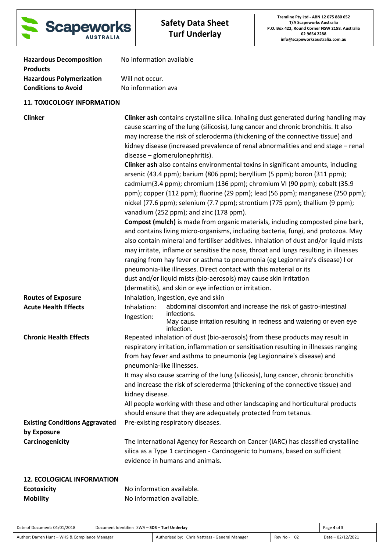

| <b>Hazardous Decomposition</b>  | No information available |
|---------------------------------|--------------------------|
| <b>Products</b>                 |                          |
| <b>Hazardous Polymerization</b> | Will not occur.          |
| <b>Conditions to Avoid</b>      | No information ava       |
|                                 |                          |

# **11. TOXICOLOGY INFORMATION**

| <b>Clinker</b>                                                          | <b>Clinker ash contains crystalline silica. Inhaling dust generated during handling may</b><br>cause scarring of the lung (silicosis), lung cancer and chronic bronchitis. It also<br>may increase the risk of scleroderma (thickening of the connective tissue) and<br>kidney disease (increased prevalence of renal abnormalities and end stage - renal<br>disease - glomerulonephritis).<br><b>Clinker ash</b> also contains environmental toxins in significant amounts, including<br>arsenic (43.4 ppm); barium (806 ppm); beryllium (5 ppm); boron (311 ppm);<br>cadmium(3.4 ppm); chromium (136 ppm); chromium VI (90 ppm); cobalt (35.9<br>ppm); copper (112 ppm); fluorine (29 ppm); lead (56 ppm); manganese (250 ppm);<br>nickel (77.6 ppm); selenium (7.7 ppm); strontium (775 ppm); thallium (9 ppm);<br>vanadium (252 ppm); and zinc (178 ppm).<br><b>Compost (mulch)</b> is made from organic materials, including composted pine bark,<br>and contains living micro-organisms, including bacteria, fungi, and protozoa. May<br>also contain mineral and fertiliser additives. Inhalation of dust and/or liquid mists<br>may irritate, inflame or sensitise the nose, throat and lungs resulting in illnesses<br>ranging from hay fever or asthma to pneumonia (eg Legionnaire's disease) I or<br>pneumonia-like illnesses. Direct contact with this material or its<br>dust and/or liquid mists (bio-aerosols) may cause skin irritation<br>(dermatitis), and skin or eye infection or irritation. |
|-------------------------------------------------------------------------|--------------------------------------------------------------------------------------------------------------------------------------------------------------------------------------------------------------------------------------------------------------------------------------------------------------------------------------------------------------------------------------------------------------------------------------------------------------------------------------------------------------------------------------------------------------------------------------------------------------------------------------------------------------------------------------------------------------------------------------------------------------------------------------------------------------------------------------------------------------------------------------------------------------------------------------------------------------------------------------------------------------------------------------------------------------------------------------------------------------------------------------------------------------------------------------------------------------------------------------------------------------------------------------------------------------------------------------------------------------------------------------------------------------------------------------------------------------------------------------------------------------------|
| <b>Routes of Exposure</b><br><b>Acute Health Effects</b>                | Inhalation, ingestion, eye and skin<br>abdominal discomfort and increase the risk of gastro-intestinal<br>Inhalation:<br>infections.<br>Ingestion:<br>May cause irritation resulting in redness and watering or even eye<br>infection.                                                                                                                                                                                                                                                                                                                                                                                                                                                                                                                                                                                                                                                                                                                                                                                                                                                                                                                                                                                                                                                                                                                                                                                                                                                                             |
| <b>Chronic Health Effects</b>                                           | Repeated inhalation of dust (bio-aerosols) from these products may result in<br>respiratory irritation, inflammation or sensitisation resulting in illnesses ranging<br>from hay fever and asthma to pneumonia (eg Legionnaire's disease) and<br>pneumonia-like illnesses.<br>It may also cause scarring of the lung (silicosis), lung cancer, chronic bronchitis<br>and increase the risk of scleroderma (thickening of the connective tissue) and<br>kidney disease.<br>All people working with these and other landscaping and horticultural products<br>should ensure that they are adequately protected from tetanus.                                                                                                                                                                                                                                                                                                                                                                                                                                                                                                                                                                                                                                                                                                                                                                                                                                                                                         |
| <b>Existing Conditions Aggravated</b><br>by Exposure<br>Carcinogenicity | Pre-existing respiratory diseases.<br>The International Agency for Research on Cancer (IARC) has classified crystalline                                                                                                                                                                                                                                                                                                                                                                                                                                                                                                                                                                                                                                                                                                                                                                                                                                                                                                                                                                                                                                                                                                                                                                                                                                                                                                                                                                                            |
|                                                                         | silica as a Type 1 carcinogen - Carcinogenic to humans, based on sufficient<br>evidence in humans and animals.                                                                                                                                                                                                                                                                                                                                                                                                                                                                                                                                                                                                                                                                                                                                                                                                                                                                                                                                                                                                                                                                                                                                                                                                                                                                                                                                                                                                     |
| <b>12. ECOLOGICAL INFORMATION</b>                                       |                                                                                                                                                                                                                                                                                                                                                                                                                                                                                                                                                                                                                                                                                                                                                                                                                                                                                                                                                                                                                                                                                                                                                                                                                                                                                                                                                                                                                                                                                                                    |
| <b>Ecotovicity</b>                                                      | No information available                                                                                                                                                                                                                                                                                                                                                                                                                                                                                                                                                                                                                                                                                                                                                                                                                                                                                                                                                                                                                                                                                                                                                                                                                                                                                                                                                                                                                                                                                           |

| <b>Ecotoxicity</b> | No information available. |  |  |
|--------------------|---------------------------|--|--|
| <b>Mobility</b>    | No information available. |  |  |

| Date of Document: 04/01/2018                   | Document Identifier: SWA - SDS - Turf Underlay |                                                 |                  | Page 4 of 5       |
|------------------------------------------------|------------------------------------------------|-------------------------------------------------|------------------|-------------------|
| Author: Darren Hunt - WHS & Compliance Manager |                                                | Authorised by: Chris Nattrass - General Manager | - 02<br>Rev No - | Date - 02/12/2021 |